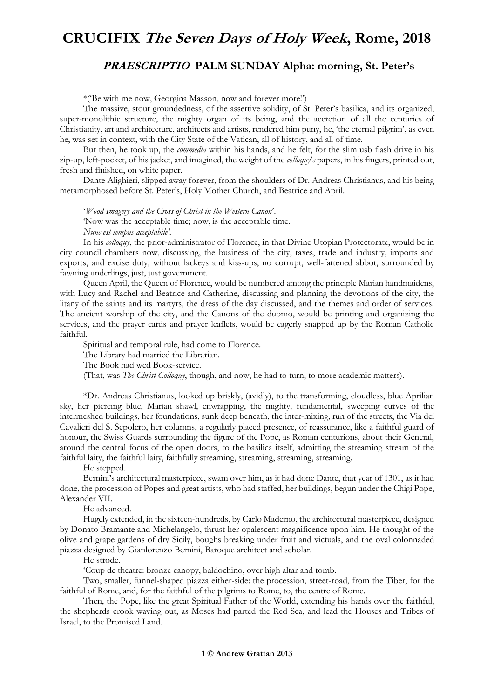## **CRUCIFIX The Seven Days of Holy Week, Rome, 2018**

## **PRAESCRIPTIO PALM SUNDAY Alpha: morning, St. Peter's**

\*('Be with me now, Georgina Masson, now and forever more!')

The massive, stout groundedness, of the assertive solidity, of St. Peter's basilica, and its organized, super-monolithic structure, the mighty organ of its being, and the accretion of all the centuries of Christianity, art and architecture, architects and artists, rendered him puny, he, 'the eternal pilgrim', as even he, was set in context, with the City State of the Vatican, all of history, and all of time.

But then, he took up, the *commedia* within his hands, and he felt, for the slim usb flash drive in his zip-up, left-pocket, of his jacket, and imagined, the weight of the *colloquy*'*s* papers, in his fingers, printed out, fresh and finished, on white paper.

Dante Alighieri, slipped away forever, from the shoulders of Dr. Andreas Christianus, and his being metamorphosed before St. Peter's, Holy Mother Church, and Beatrice and April.

'*Wood Imagery and the Cross of Christ in the Western Canon*'.

'Now was the acceptable time; now, is the acceptable time.

*Nunc est tempus acceptabile'.*

In his *colloquy*, the prior-administrator of Florence, in that Divine Utopian Protectorate, would be in city council chambers now, discussing, the business of the city, taxes, trade and industry, imports and exports, and excise duty, without lackeys and kiss-ups, no corrupt, well-fattened abbot, surrounded by fawning underlings, just, just government.

Queen April, the Queen of Florence, would be numbered among the principle Marian handmaidens, with Lucy and Rachel and Beatrice and Catherine, discussing and planning the devotions of the city, the litany of the saints and its martyrs, the dress of the day discussed, and the themes and order of services. The ancient worship of the city, and the Canons of the duomo, would be printing and organizing the services, and the prayer cards and prayer leaflets, would be eagerly snapped up by the Roman Catholic faithful.

Spiritual and temporal rule, had come to Florence.

The Library had married the Librarian.

The Book had wed Book-service.

(That, was *The Christ Colloquy*, though, and now, he had to turn, to more academic matters).

\*Dr. Andreas Christianus, looked up briskly, (avidly), to the transforming, cloudless, blue Aprilian sky, her piercing blue, Marian shawl, enwrapping, the mighty, fundamental, sweeping curves of the intermeshed buildings, her foundations, sunk deep beneath, the inter-mixing, run of the streets, the Via dei Cavalieri del S. Sepolcro, her columns, a regularly placed presence, of reassurance, like a faithful guard of honour, the Swiss Guards surrounding the figure of the Pope, as Roman centurions, about their General, around the central focus of the open doors, to the basilica itself, admitting the streaming stream of the faithful laity, the faithful laity, faithfully streaming, streaming, streaming, streaming.

He stepped.

Bernini's architectural masterpiece, swam over him, as it had done Dante, that year of 1301, as it had done, the procession of Popes and great artists, who had staffed, her buildings, begun under the Chigi Pope, Alexander VII.

He advanced.

Hugely extended, in the sixteen-hundreds, by Carlo Maderno, the architectural masterpiece, designed by Donato Bramante and Michelangelo, thrust her opalescent magnificence upon him. He thought of the olive and grape gardens of dry Sicily, boughs breaking under fruit and victuals, and the oval colonnaded piazza designed by Gianlorenzo Bernini, Baroque architect and scholar.

He strode.

'Coup de theatre: bronze canopy, baldochino, over high altar and tomb.

Two, smaller, funnel-shaped piazza either-side: the procession, street-road, from the Tiber, for the faithful of Rome, and, for the faithful of the pilgrims to Rome, to, the centre of Rome.

Then, the Pope, like the great Spiritual Father of the World, extending his hands over the faithful, the shepherds crook waving out, as Moses had parted the Red Sea, and lead the Houses and Tribes of Israel, to the Promised Land.